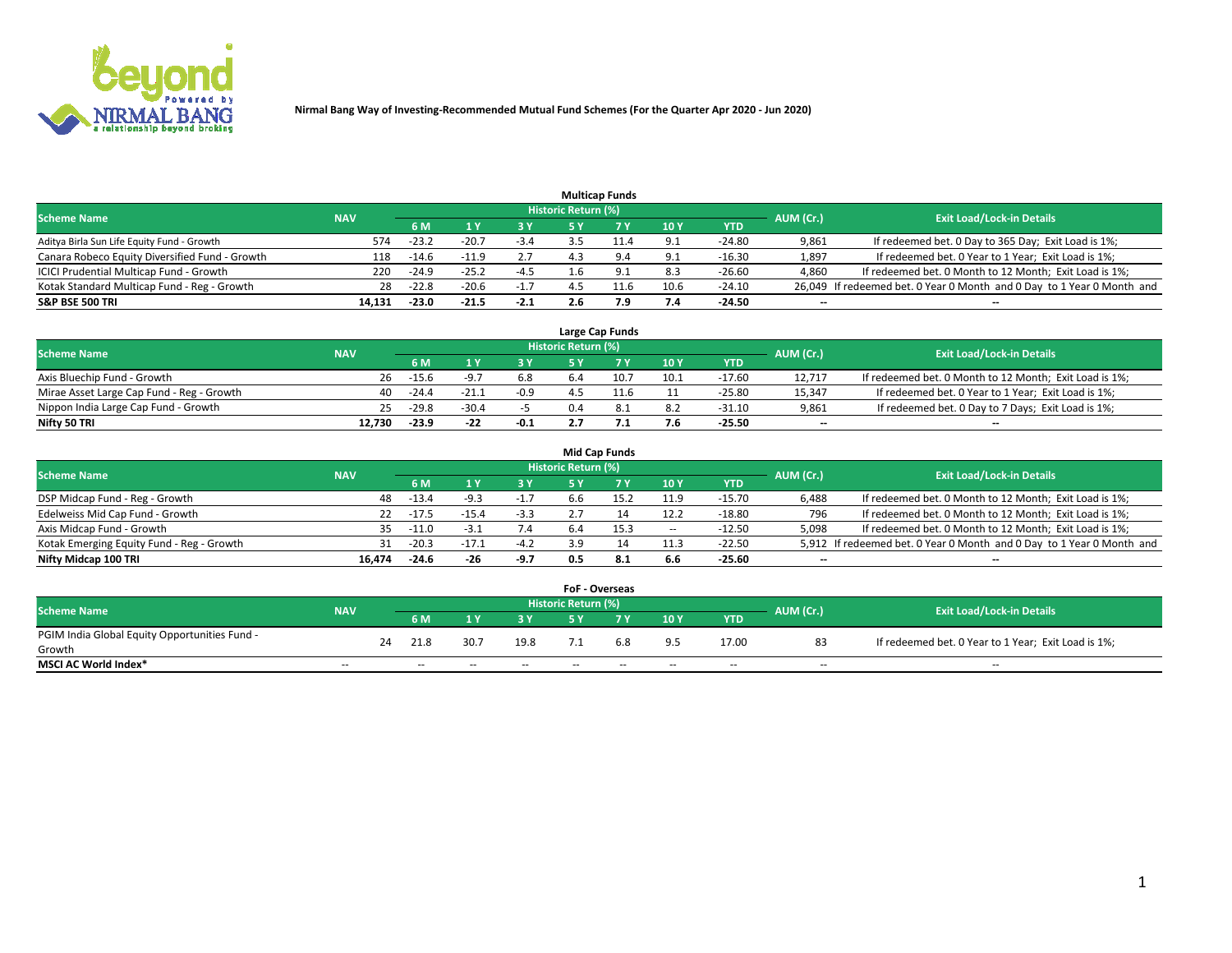

|                                                |            |         |         |        |                     | <b>Multicap Funds</b> |             |          |                          |                                                                        |
|------------------------------------------------|------------|---------|---------|--------|---------------------|-----------------------|-------------|----------|--------------------------|------------------------------------------------------------------------|
| <b>Scheme Name</b>                             | <b>NAV</b> |         |         |        | Historic Return (%) |                       |             |          | AUM (Cr.)                | <b>Exit Load/Lock-in Details</b>                                       |
|                                                |            | 6 M     |         |        |                     |                       | <b>10 Y</b> | YTD      |                          |                                                                        |
| Aditya Birla Sun Life Equity Fund - Growth     | 574        | $-23.2$ | $-20.7$ | $-3.4$ |                     |                       | 9.1         | $-24.80$ | 9,861                    | If redeemed bet. 0 Day to 365 Day; Exit Load is 1%;                    |
| Canara Robeco Equity Diversified Fund - Growth | 118        | $-14.6$ | -11.9   | 2.7    |                     |                       | 9.1         | $-16.30$ | 1,897                    | If redeemed bet. 0 Year to 1 Year; Exit Load is 1%;                    |
| ICICI Prudential Multicap Fund - Growth        | 220        | $-24.9$ | $-25.2$ | -4.5   |                     |                       | 8.3         | $-26.60$ | 4,860                    | If redeemed bet. 0 Month to 12 Month; Exit Load is 1%;                 |
| Kotak Standard Multicap Fund - Reg - Growth    | 28         | $-22.8$ | $-20.6$ | $-1.7$ |                     |                       | 10.6        | $-24.10$ |                          | 26,049 If redeemed bet. 0 Year 0 Month and 0 Day to 1 Year 0 Month and |
| <b>S&amp;P BSE 500 TRI</b>                     | 14.131     | $-23.0$ | $-21.5$ | $-2.1$ |                     | 7.9                   | 7.4         | $-24.50$ | $\overline{\phantom{a}}$ | $\overline{\phantom{a}}$                                               |

|                                           |            |         |         |        |                     | Large Cap Funds |      |          |                          |                                                        |
|-------------------------------------------|------------|---------|---------|--------|---------------------|-----------------|------|----------|--------------------------|--------------------------------------------------------|
| <b>Scheme Name</b>                        | <b>NAV</b> |         |         |        | Historic Return (%) |                 |      |          | AUM (Cr.)                | <b>Exit Load/Lock-in Details</b>                       |
|                                           |            | 6 M     |         | 3 Y    |                     |                 | 10Y  | YTD      |                          |                                                        |
| Axis Bluechip Fund - Growth               | 26         | $-15.6$ |         | 6.8    |                     | 10.7            | 10.1 | $-17.60$ | 12.717                   | If redeemed bet. 0 Month to 12 Month; Exit Load is 1%; |
| Mirae Asset Large Cap Fund - Reg - Growth | 40         | $-24.4$ | $-21.1$ | $-0.9$ |                     |                 |      | $-25.80$ | 15,347                   | If redeemed bet. 0 Year to 1 Year; Exit Load is 1%;    |
| Nippon India Large Cap Fund - Growth      | 25         | $-29.8$ | $-30.4$ |        |                     |                 | 8.2  | $-31.10$ | 9,861                    | If redeemed bet. 0 Day to 7 Days; Exit Load is 1%;     |
| Nifty 50 TRI                              | 12.730     | $-23.9$ | $-22$   | $-0.1$ |                     |                 | 7.6  | $-25.50$ | $\overline{\phantom{a}}$ | $\overline{\phantom{a}}$                               |

|                                           |            |         |         |        |                     | <b>Mid Cap Funds</b> |        |          |           |                                                                       |
|-------------------------------------------|------------|---------|---------|--------|---------------------|----------------------|--------|----------|-----------|-----------------------------------------------------------------------|
| <b>Scheme Name</b>                        | <b>NAV</b> |         |         |        | Historic Return (%) |                      |        |          | AUM (Cr.) | <b>Exit Load/Lock-in Details</b>                                      |
|                                           |            | 6 M     |         | 3 Y    |                     |                      | 10Y    | YTD      |           |                                                                       |
| DSP Midcap Fund - Reg - Growth            | 48         | $-13.4$ | -9.3    | $-1.7$ | 6.6                 |                      | 11.9   | $-15.70$ | 6.488     | If redeemed bet. 0 Month to 12 Month; Exit Load is 1%;                |
| Edelweiss Mid Cap Fund - Growth           | 22.        | $-17.5$ | $-15.4$ | $-3.3$ |                     |                      | 12.2   | $-18.80$ | 796       | If redeemed bet. 0 Month to 12 Month; Exit Load is 1%;                |
| Axis Midcap Fund - Growth                 | 35.        | $-11.0$ | -3.1    | 7.4    | 6.4                 | 15.3                 | $\sim$ | $-12.50$ | 5,098     | If redeemed bet. 0 Month to 12 Month; Exit Load is 1%;                |
| Kotak Emerging Equity Fund - Reg - Growth |            | $-20.3$ | $-17.1$ | $-4.2$ | 3.9                 |                      | 11.3   | $-22.50$ |           | 5,912 If redeemed bet. 0 Year 0 Month and 0 Day to 1 Year 0 Month and |
| Nifty Midcap 100 TRI                      | 16.474     | $-24.6$ | -26     | $-9.7$ | 0.5                 | -8.1                 | 6.6    | $-25.60$ | --        | $\overline{\phantom{a}}$                                              |

|                                               |            |    |      |      |      | <b>FoF - Overseas</b>      |     |     |            |           |                                                     |
|-----------------------------------------------|------------|----|------|------|------|----------------------------|-----|-----|------------|-----------|-----------------------------------------------------|
| <b>Scheme Name</b>                            | <b>NAV</b> |    |      |      |      | <b>Historic Return (%)</b> |     |     |            | AUM (Cr.) | <b>Exit Load/Lock-in Details</b>                    |
|                                               |            |    | 6 M  |      |      |                            |     | 10Y | <b>YTD</b> |           |                                                     |
| PGIM India Global Equity Opportunities Fund - |            | 24 | 21.8 | 30.7 | 19.8 |                            | 6.8 | 9.5 | 17.00      | 83        | If redeemed bet. 0 Year to 1 Year; Exit Load is 1%; |
| Growth                                        |            |    |      |      |      |                            |     |     |            |           |                                                     |
| <b>MSCI AC World Index*</b>                   | $- -$      |    | $-$  | --   | $-$  | $- -$                      | --  | $-$ | $-$        | $-$       | $-$                                                 |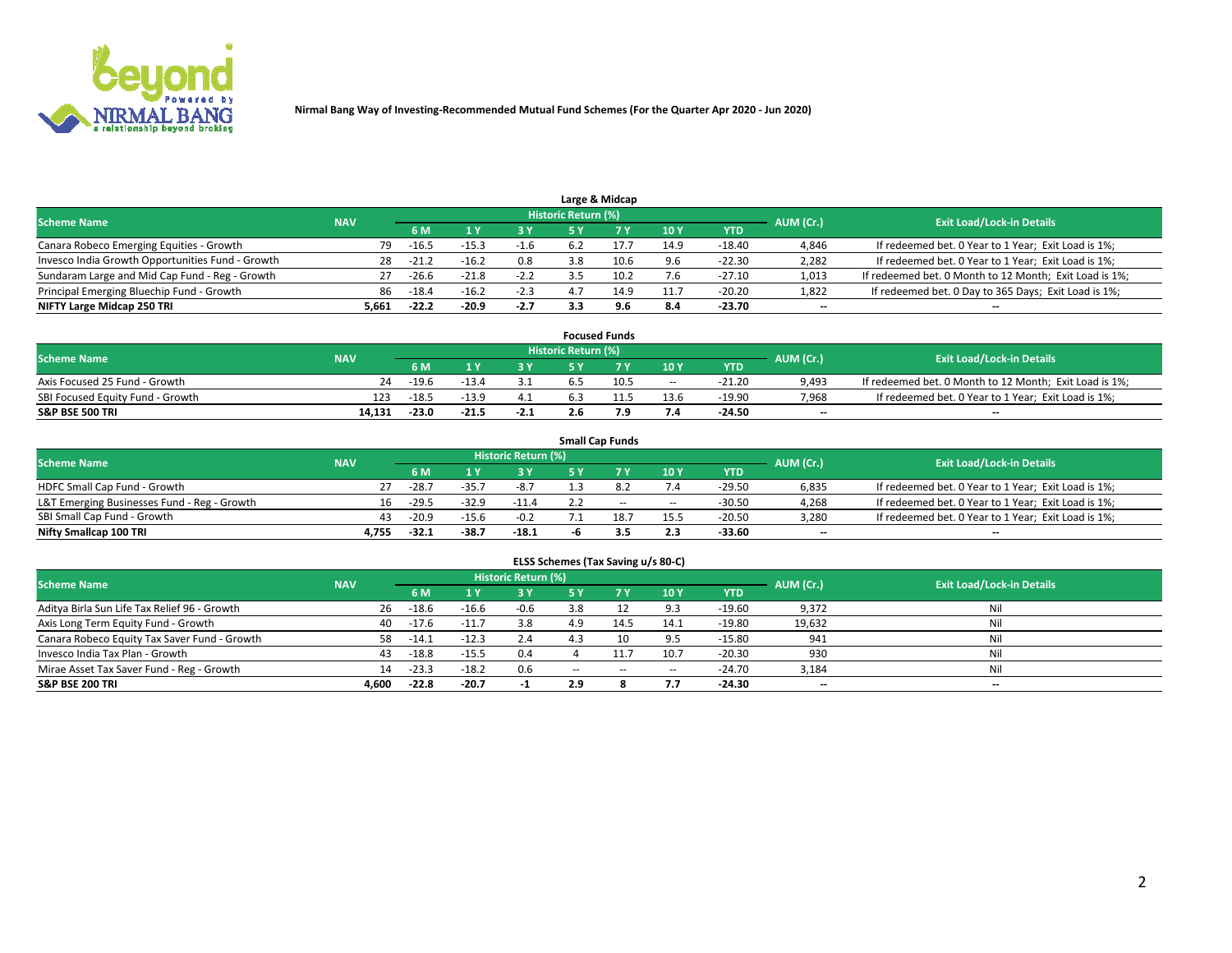

|                                                  |            |           |         |        |                     | Large & Midcap |      |          |           |                                                        |
|--------------------------------------------------|------------|-----------|---------|--------|---------------------|----------------|------|----------|-----------|--------------------------------------------------------|
| <b>Scheme Name</b>                               | <b>NAV</b> |           |         |        | Historic Return (%) |                |      |          | AUM (Cr.) | <b>Exit Load/Lock-in Details</b>                       |
|                                                  |            | <b>6M</b> |         | 3 V    |                     |                | 10Y  | YTD      |           |                                                        |
| Canara Robeco Emerging Equities - Growth         | 79         | $-16.5$   | $-15.3$ | -1.6   |                     | 17.7           | 14.9 | $-18.40$ | 4,846     | If redeemed bet. 0 Year to 1 Year; Exit Load is 1%;    |
| Invesco India Growth Opportunities Fund - Growth | 28         | -21.2     | $-16.2$ | 0.8    | 3.8                 | 10.6           | 9.6  | $-22.30$ | 2,282     | If redeemed bet. 0 Year to 1 Year; Exit Load is 1%;    |
| Sundaram Large and Mid Cap Fund - Reg - Growth   |            | $-26.6$   | $-21.8$ | $-2.2$ |                     | 10.2           | 7.6  | $-27.10$ | 1,013     | If redeemed bet. 0 Month to 12 Month; Exit Load is 1%; |
| Principal Emerging Bluechip Fund - Growth        | 86         | $-18.4$   | $-16.2$ | $-2.3$ |                     | 14.9           | 11.7 | $-20.20$ | 1,822     | If redeemed bet. 0 Day to 365 Days; Exit Load is 1%;   |
| NIFTY Large Midcap 250 TRI                       | 5,661      | $-22.2$   | -20.9   | -2.7   |                     | 9.6            | 8.4  | $-23.70$ | $-$       | $\overline{\phantom{a}}$                               |

|                                  |            |         |         |        |                     | <b>Focused Funds</b> |        |          |           |                                                        |
|----------------------------------|------------|---------|---------|--------|---------------------|----------------------|--------|----------|-----------|--------------------------------------------------------|
| <b>Scheme Name</b>               | <b>NAV</b> |         |         |        | Historic Return (%) |                      |        |          | AUM (Cr.) | <b>Exit Load/Lock-in Details</b>                       |
|                                  |            | 6 M     |         |        |                     |                      | 10Y    | YTD      |           |                                                        |
| Axis Focused 25 Fund - Growth    | 24         | $-19.6$ | $-13.4$ |        |                     | 10.5                 | $\sim$ | $-21.20$ | 9,493     | If redeemed bet. 0 Month to 12 Month; Exit Load is 1%; |
| SBI Focused Equity Fund - Growth | 123        | $-18.5$ | $-13.9$ | 4.1    |                     |                      | 13.6   | $-19.90$ | 7,968     | If redeemed bet. 0 Year to 1 Year; Exit Load is 1%;    |
| <b>S&amp;P BSE 500 TRI</b>       | 14.131     | $-23.0$ | $-21.5$ | $-2.1$ |                     |                      | 7.4    | $-24.50$ | $-$       | $\overline{\phantom{a}}$                               |

|                                             |            |         |         |                     |    | <b>Small Cap Funds</b> |      |            |           |                                                     |
|---------------------------------------------|------------|---------|---------|---------------------|----|------------------------|------|------------|-----------|-----------------------------------------------------|
| <b>Scheme Name</b>                          | <b>NAV</b> |         |         | Historic Return (%) |    |                        |      |            | AUM (Cr.) | <b>Exit Load/Lock-in Details</b>                    |
|                                             |            | 6 M     |         | 3 Y                 |    |                        | 10Y  | <b>YTD</b> |           |                                                     |
| HDFC Small Cap Fund - Growth                |            | $-28.7$ | $-35.7$ | $-8.7$              |    |                        | 7.4  | $-29.50$   | 6,835     | If redeemed bet. 0 Year to 1 Year; Exit Load is 1%; |
| L&T Emerging Businesses Fund - Reg - Growth | 16.        | $-29.5$ | $-32.9$ | $-11.4$             |    | $\sim$                 | $-$  | $-30.50$   | 4,268     | If redeemed bet. 0 Year to 1 Year; Exit Load is 1%; |
| SBI Small Cap Fund - Growth                 | 43         | $-20.9$ | $-15.6$ | $-0.2$              |    | 18.7                   | 15.5 | $-20.50$   | 3,280     | If redeemed bet. 0 Year to 1 Year; Exit Load is 1%; |
| Nifty Smallcap 100 TRI                      | 4.755      | -32.1   | -38.7   | $-18.1$             | -n |                        | 2.3  | -33.60     | $- -$     | $\overline{\phantom{a}}$                            |

| ELSS Schemes (Tax Saving u/s 80-C)           |            |         |         |                     |           |           |        |            |           |                                  |  |  |  |
|----------------------------------------------|------------|---------|---------|---------------------|-----------|-----------|--------|------------|-----------|----------------------------------|--|--|--|
| <b>Scheme Name</b>                           | <b>NAV</b> |         |         | Historic Return (%) |           |           |        |            | AUM (Cr.) | <b>Exit Load/Lock-in Details</b> |  |  |  |
|                                              |            | 6 M     | 1 Y.    | 3 Y                 | <b>5Y</b> | <b>7Y</b> | 10Y    | <b>YTD</b> |           |                                  |  |  |  |
| Aditya Birla Sun Life Tax Relief 96 - Growth | 26         | $-18.6$ | $-16.6$ | $-0.6$              | 3.8       |           | 9.3    | $-19.60$   | 9,372     | Nil                              |  |  |  |
| Axis Long Term Equity Fund - Growth          | 40         | $-17.6$ | $-11.7$ | 3.8                 | 4.9       | 14.5      | 14.1   | $-19.80$   | 19,632    | Nil                              |  |  |  |
| Canara Robeco Equity Tax Saver Fund - Growth | 58         | $-14.1$ | $-12.3$ | 2.4                 |           | 10        | 9.5    | $-15.80$   | 941       | Nil                              |  |  |  |
| Invesco India Tax Plan - Growth              | 43         | $-18.8$ | $-15.5$ | 0.4                 |           |           | 10.7   | $-20.30$   | 930       | Nil                              |  |  |  |
| Mirae Asset Tax Saver Fund - Reg - Growth    | 14         | $-23.3$ | $-18.2$ | 0.6                 | $\sim$    | $\sim$    | $\sim$ | $-24.70$   | 3,184     | Nil                              |  |  |  |
| <b>S&amp;P BSE 200 TRI</b>                   | 4,600      | $-22.8$ | $-20.7$ |                     | 2.9       |           | 7.7    | $-24.30$   | $- -$     | $\overline{\phantom{a}}$         |  |  |  |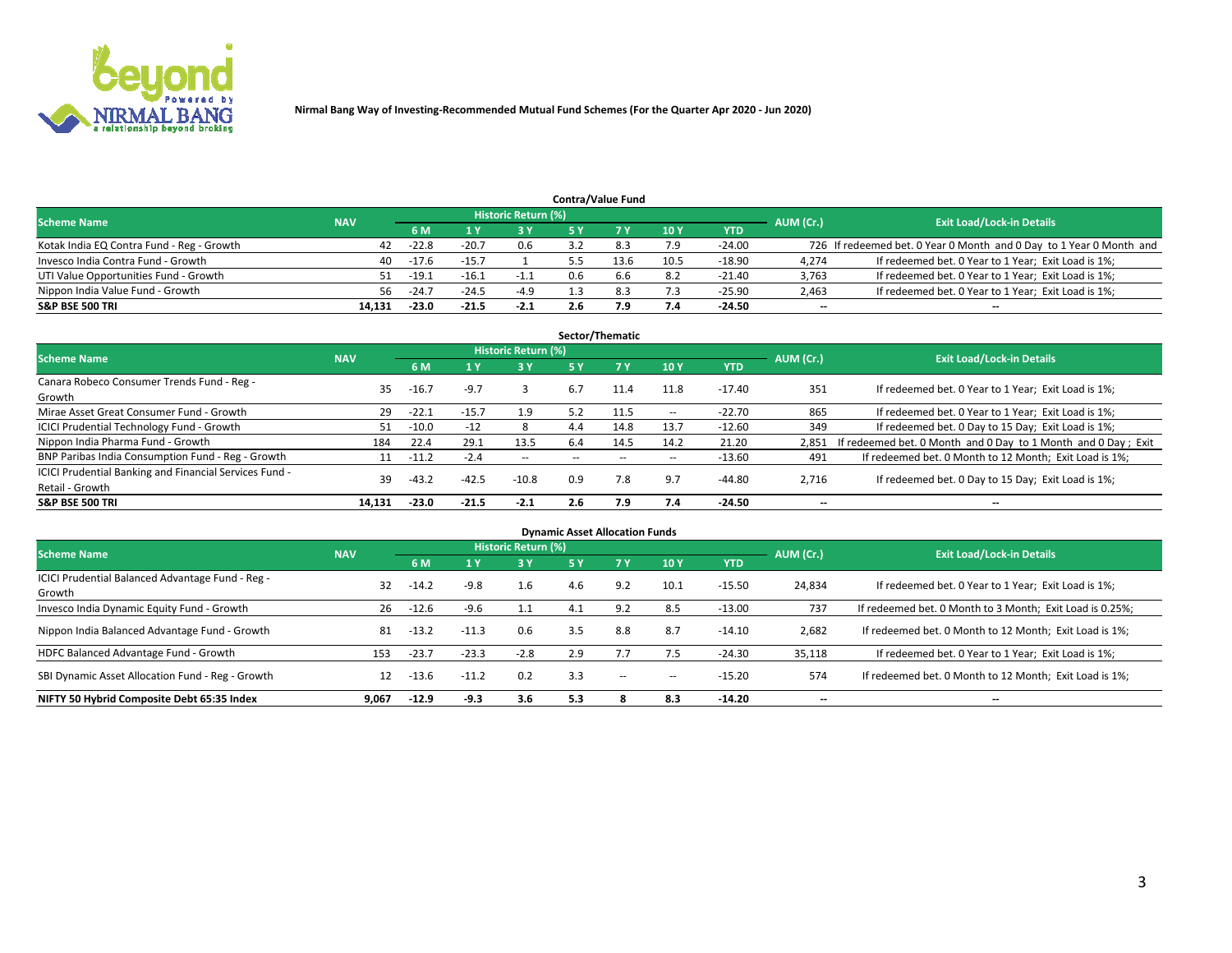

|                                           |            |         |         |                            |     | <b>Contra/Value Fund</b> |      |            |           |                                                                     |
|-------------------------------------------|------------|---------|---------|----------------------------|-----|--------------------------|------|------------|-----------|---------------------------------------------------------------------|
| <b>Scheme Name</b>                        | <b>NAV</b> |         |         | <b>Historic Return (%)</b> |     |                          |      |            | AUM (Cr.) | <b>Exit Load/Lock-in Details</b>                                    |
|                                           |            | 6 M     |         | 73 V                       |     |                          | 10Y  | <b>YTD</b> |           |                                                                     |
| Kotak India EQ Contra Fund - Reg - Growth | 42         | $-22.8$ | $-20.7$ | 0.6                        |     |                          | 7.9  | $-24.00$   |           | 726 If redeemed bet. 0 Year 0 Month and 0 Day to 1 Year 0 Month and |
| Invesco India Contra Fund - Growth        | 40         | $-17.6$ |         |                            |     |                          | 10.5 | $-18.90$   | 4,274     | If redeemed bet. 0 Year to 1 Year; Exit Load is 1%;                 |
| UTI Value Opportunities Fund - Growth     | 51.        | $-19.1$ | $-16.1$ | $-1.1$                     | 0.6 | b.b                      | 8.2  | $-21.40$   | 3,763     | If redeemed bet. 0 Year to 1 Year; Exit Load is 1%;                 |
| Nippon India Value Fund - Growth          | 56.        | $-24.7$ | $-24.5$ | $-4.9$                     |     | 8.3                      | 7.3  | $-25.90$   | 2,463     | If redeemed bet. 0 Year to 1 Year; Exit Load is 1%;                 |
| <b>S&amp;P BSE 500 TRI</b>                | 14.131     | $-23.0$ | $-21.5$ | $-2.1$                     |     | و.י                      | 7.4  | $-24.50$   | $- -$     | $\overline{\phantom{a}}$                                            |

| Sector/Thematic                                                           |            |         |         |                     |           |           |        |            |                          |                                                               |  |  |  |
|---------------------------------------------------------------------------|------------|---------|---------|---------------------|-----------|-----------|--------|------------|--------------------------|---------------------------------------------------------------|--|--|--|
| <b>Scheme Name</b>                                                        | <b>NAV</b> |         |         | Historic Return (%) |           |           |        |            | AUM (Cr.)                | <b>Exit Load/Lock-in Details</b>                              |  |  |  |
|                                                                           |            | 6 M     |         | 3Y                  | <b>5Y</b> | <b>7Y</b> | 10Y    | <b>YTD</b> |                          |                                                               |  |  |  |
| Canara Robeco Consumer Trends Fund - Reg -<br>Growth                      | 35         | $-16.7$ | $-9.7$  |                     | 6.7       | 11.4      | 11.8   | -17.40     | 351                      | If redeemed bet. 0 Year to 1 Year; Exit Load is 1%;           |  |  |  |
| Mirae Asset Great Consumer Fund - Growth                                  | 29         | $-22.1$ | $-15.7$ | 1.9                 | 5.2       | 11.5      | $\sim$ | $-22.70$   | 865                      | If redeemed bet. 0 Year to 1 Year; Exit Load is 1%;           |  |  |  |
| <b>ICICI Prudential Technology Fund - Growth</b>                          | 51.        | $-10.0$ | $-12$   | 8                   | 4.4       | 14.8      | 13.7   | $-12.60$   | 349                      | If redeemed bet. 0 Day to 15 Day; Exit Load is 1%;            |  |  |  |
| Nippon India Pharma Fund - Growth                                         | 184        | 22.4    | 29.1    | 13.5                | 6.4       | 14.5      | 14.2   | 21.20      | 2.851                    | If redeemed bet. 0 Month and 0 Day to 1 Month and 0 Day; Exit |  |  |  |
| BNP Paribas India Consumption Fund - Reg - Growth                         |            | $-11.2$ | $-2.4$  | $\sim$              |           |           | $\sim$ | $-13.60$   | 491                      | If redeemed bet. 0 Month to 12 Month; Exit Load is 1%;        |  |  |  |
| ICICI Prudential Banking and Financial Services Fund -<br>Retail - Growth | 39         | $-43.2$ | $-42.5$ | $-10.8$             | 0.9       | 7.8       | 9.7    | $-44.80$   | 2,716                    | If redeemed bet. 0 Day to 15 Day; Exit Load is 1%;            |  |  |  |
| <b>S&amp;P BSE 500 TRI</b>                                                | 14.131     | $-23.0$ | $-21.5$ | $-2.1$              | 2.6       | 7.9       | 7.4    | -24.50     | $\overline{\phantom{a}}$ | --                                                            |  |  |  |

| <b>Dynamic Asset Allocation Funds</b>                      |            |         |         |                     |           |           |        |            |                          |                                                          |  |  |  |
|------------------------------------------------------------|------------|---------|---------|---------------------|-----------|-----------|--------|------------|--------------------------|----------------------------------------------------------|--|--|--|
| <b>Scheme Name</b>                                         | <b>NAV</b> |         |         | Historic Return (%) |           |           |        |            | AUM (Cr.)                | <b>Exit Load/Lock-in Details</b>                         |  |  |  |
|                                                            |            | 6 M     |         | 3 Y                 | <b>5Y</b> | <b>7Y</b> | 10Y    | <b>YTD</b> |                          |                                                          |  |  |  |
| ICICI Prudential Balanced Advantage Fund - Reg -<br>Growth | 32         | $-14.2$ | $-9.8$  | 1.6                 | 4.6       | 9.2       | 10.1   | $-15.50$   | 24,834                   | If redeemed bet. 0 Year to 1 Year; Exit Load is 1%;      |  |  |  |
| Invesco India Dynamic Equity Fund - Growth                 | 26         | $-12.6$ | $-9.6$  | 1.1                 | 4.1       | 9.2       | 8.5    | $-13.00$   | 737                      | If redeemed bet. 0 Month to 3 Month; Exit Load is 0.25%; |  |  |  |
| Nippon India Balanced Advantage Fund - Growth              | 81         | $-13.2$ | $-11.3$ | 0.6                 | 3.5       | 8.8       | 8.7    | $-14.10$   | 2,682                    | If redeemed bet. 0 Month to 12 Month; Exit Load is 1%;   |  |  |  |
| HDFC Balanced Advantage Fund - Growth                      | 153        | $-23.7$ | $-23.3$ | $-2.8$              | 2.9       |           | 7.5    | $-24.30$   | 35,118                   | If redeemed bet. 0 Year to 1 Year; Exit Load is 1%;      |  |  |  |
| SBI Dynamic Asset Allocation Fund - Reg - Growth           | 12         | $-13.6$ | $-11.2$ | 0.2                 | 3.3       | $\sim$    | $\sim$ | $-15.20$   | 574                      | If redeemed bet. 0 Month to 12 Month; Exit Load is 1%;   |  |  |  |
| NIFTY 50 Hybrid Composite Debt 65:35 Index                 | 9.067      | $-12.9$ | $-9.3$  | 3.6                 | 5.3       |           | 8.3    | $-14.20$   | $\overline{\phantom{a}}$ | $\overline{\phantom{a}}$                                 |  |  |  |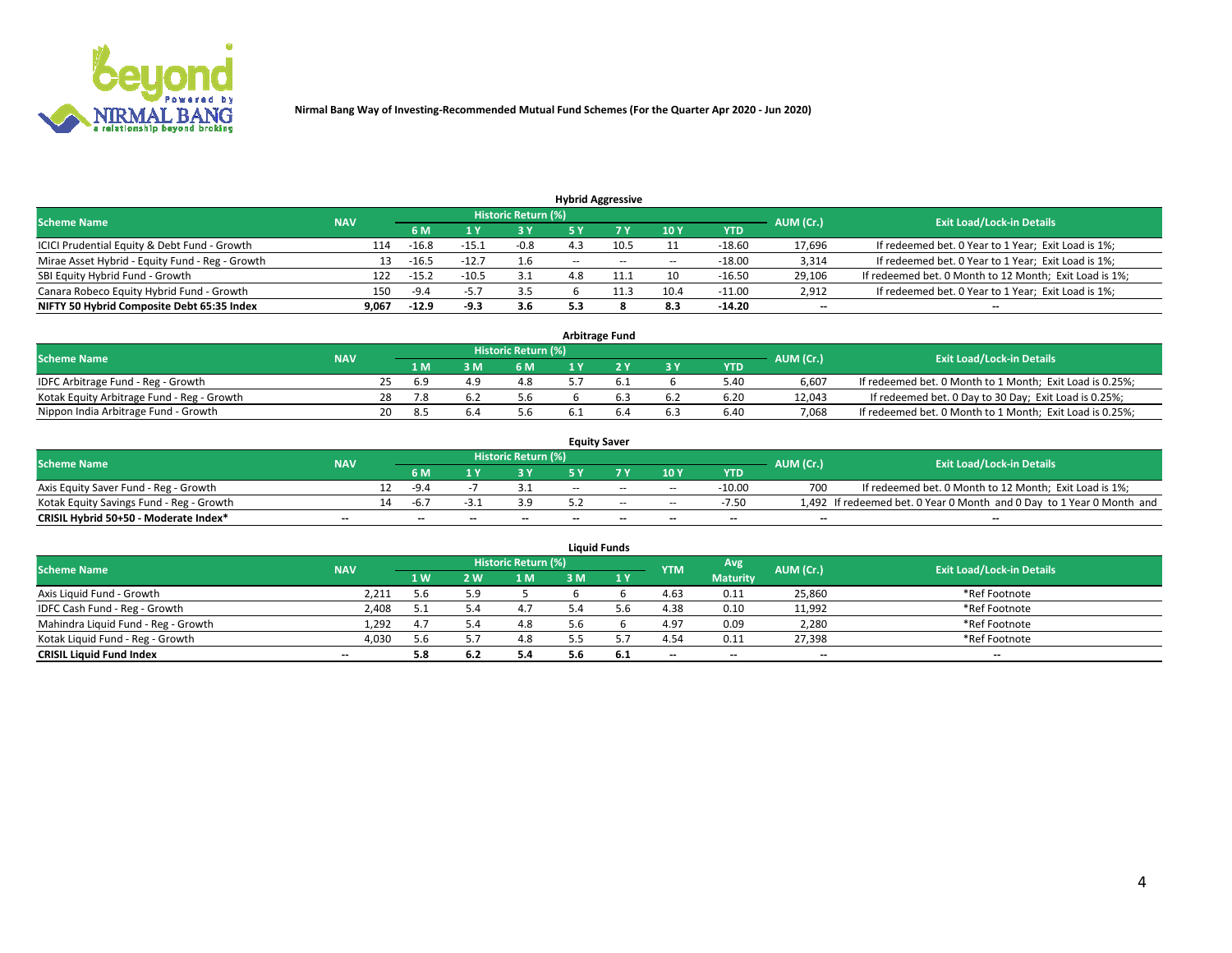

|                                                 |            |         |         |                            |                          | <b>Hybrid Aggressive</b> |        |            |           |                                                        |
|-------------------------------------------------|------------|---------|---------|----------------------------|--------------------------|--------------------------|--------|------------|-----------|--------------------------------------------------------|
| <b>Scheme Name</b>                              | <b>NAV</b> |         |         | <b>Historic Return (%)</b> |                          |                          |        |            | AUM (Cr.) | <b>Exit Load/Lock-in Details</b>                       |
|                                                 |            | 6 M     |         | 73 V                       |                          |                          | 10Y    | <b>YTD</b> |           |                                                        |
| ICICI Prudential Equity & Debt Fund - Growth    | 114        | $-16.8$ | $-15.1$ | $-0.8$                     |                          | 10.5                     |        | $-18.60$   | 17,696    | If redeemed bet. 0 Year to 1 Year; Exit Load is 1%;    |
| Mirae Asset Hybrid - Equity Fund - Reg - Growth | 13         | $-16.5$ |         | 1.6                        | $\overline{\phantom{a}}$ | $\sim$                   | $\sim$ | $-18.00$   | 3,314     | If redeemed bet. 0 Year to 1 Year; Exit Load is 1%;    |
| SBI Equity Hybrid Fund - Growth                 | 122        | $-15.2$ | $-10.5$ | 3.1                        | 4.8                      | 11.1                     | 10     | $-16.50$   | 29,106    | If redeemed bet. 0 Month to 12 Month; Exit Load is 1%; |
| Canara Robeco Equity Hybrid Fund - Growth       | 150        | -9.4    | -5.     | 3.5                        |                          |                          | 10.4   | $-11.00$   | 2,912     | If redeemed bet. 0 Year to 1 Year; Exit Load is 1%;    |
| NIFTY 50 Hybrid Composite Debt 65:35 Index      | 9,067      | $-12.9$ | -9.3    | 3.6                        |                          |                          | 8.3    | $-14.20$   | $- -$     | $\overline{\phantom{a}}$                               |

| <b>Arbitrage Fund</b>                      |            |  |      |   |                     |  |  |           |            |           |                                                          |  |  |
|--------------------------------------------|------------|--|------|---|---------------------|--|--|-----------|------------|-----------|----------------------------------------------------------|--|--|
| <b>Scheme Name</b>                         | <b>NAV</b> |  |      |   | Historic Return (%) |  |  |           |            | AUM (Cr.) | <b>Exit Load/Lock-in Details</b>                         |  |  |
|                                            |            |  | 1 M  | M | 6 M                 |  |  | <b>3Y</b> | <b>YTD</b> |           |                                                          |  |  |
| IDFC Arbitrage Fund - Reg - Growth         |            |  | -6.9 |   | 4.8                 |  |  |           | 5.40       | 6.607     | If redeemed bet. 0 Month to 1 Month; Exit Load is 0.25%; |  |  |
| Kotak Equity Arbitrage Fund - Reg - Growth |            |  |      |   | 5.6                 |  |  | 6.2       | 6.20       | 12.043    | If redeemed bet. 0 Day to 30 Day; Exit Load is 0.25%;    |  |  |
| Nippon India Arbitrage Fund - Growth       |            |  | 8.5  |   | 5.b                 |  |  | 6.3       | 6.40       | 7.068     | If redeemed bet. 0 Month to 1 Month; Exit Load is 0.25%; |  |  |

| <b>Equity Saver</b>                      |            |     |                          |    |                          |       |                          |        |            |           |                                                                       |  |  |  |
|------------------------------------------|------------|-----|--------------------------|----|--------------------------|-------|--------------------------|--------|------------|-----------|-----------------------------------------------------------------------|--|--|--|
| <b>Scheme Name</b>                       | <b>NAV</b> |     |                          |    | Historic Return (%)      |       |                          |        |            | AUM (Cr.) | <b>Exit Load/Lock-in Details</b>                                      |  |  |  |
|                                          |            |     | 6 M                      |    |                          |       | 7 V                      | 10Y    | <b>YTD</b> |           |                                                                       |  |  |  |
| Axis Equity Saver Fund - Reg - Growth    |            |     | $-9.4$                   |    |                          | $- -$ | $-$                      | $\sim$ | $-10.00$   | 700       | If redeemed bet. 0 Month to 12 Month; Exit Load is 1%;                |  |  |  |
| Kotak Equity Savings Fund - Reg - Growth |            | 14. | -ნ.,                     |    | 3.9                      |       | $\sim$                   | $\sim$ | $-7.50$    |           | 1,492 If redeemed bet. 0 Year 0 Month and 0 Day to 1 Year 0 Month and |  |  |  |
| CRISIL Hybrid 50+50 - Moderate Index*    | $- -$      |     | $\overline{\phantom{a}}$ | -- | $\overline{\phantom{a}}$ | $-$   | $\overline{\phantom{a}}$ | $-$    | $-$        | $- -$     | --                                                                    |  |  |  |

| <b>Liquid Funds</b>                 |                          |     |            |                            |     |     |            |                 |           |                                  |  |  |  |
|-------------------------------------|--------------------------|-----|------------|----------------------------|-----|-----|------------|-----------------|-----------|----------------------------------|--|--|--|
| <b>Scheme Name</b>                  | <b>NAV</b>               |     |            | <b>Historic Return (%)</b> |     |     | <b>YTM</b> | Avg             | AUM (Cr.) | <b>Exit Load/Lock-in Details</b> |  |  |  |
|                                     |                          | 1W  | <b>2 W</b> | 1 M                        | 3 M | 1Y  |            | <b>Maturity</b> |           |                                  |  |  |  |
| Axis Liquid Fund - Growth           | 2,211                    | 5.6 | 5.9        |                            |     |     | 4.63       | 0.11            | 25,860    | *Ref Footnote                    |  |  |  |
| IDFC Cash Fund - Reg - Growth       | 2,408                    | ь.  |            | 4.7                        |     |     | 4.38       | 0.10            | 11,992    | *Ref Footnote                    |  |  |  |
| Mahindra Liquid Fund - Reg - Growth | 1,292                    | 4.7 |            | 4.8                        |     |     | 4.97       | 0.09            | 2,280     | *Ref Footnote                    |  |  |  |
| Kotak Liquid Fund - Reg - Growth    | 4,030                    | 5.6 |            | 4.8                        |     |     | 4.54       | 0.11            | 27,398    | *Ref Footnote                    |  |  |  |
| <b>CRISIL Liquid Fund Index</b>     | $\overline{\phantom{a}}$ | 5.8 |            | 5.4                        | 5.6 | 6.1 | $-$        | $-$             | $-$       | $-$                              |  |  |  |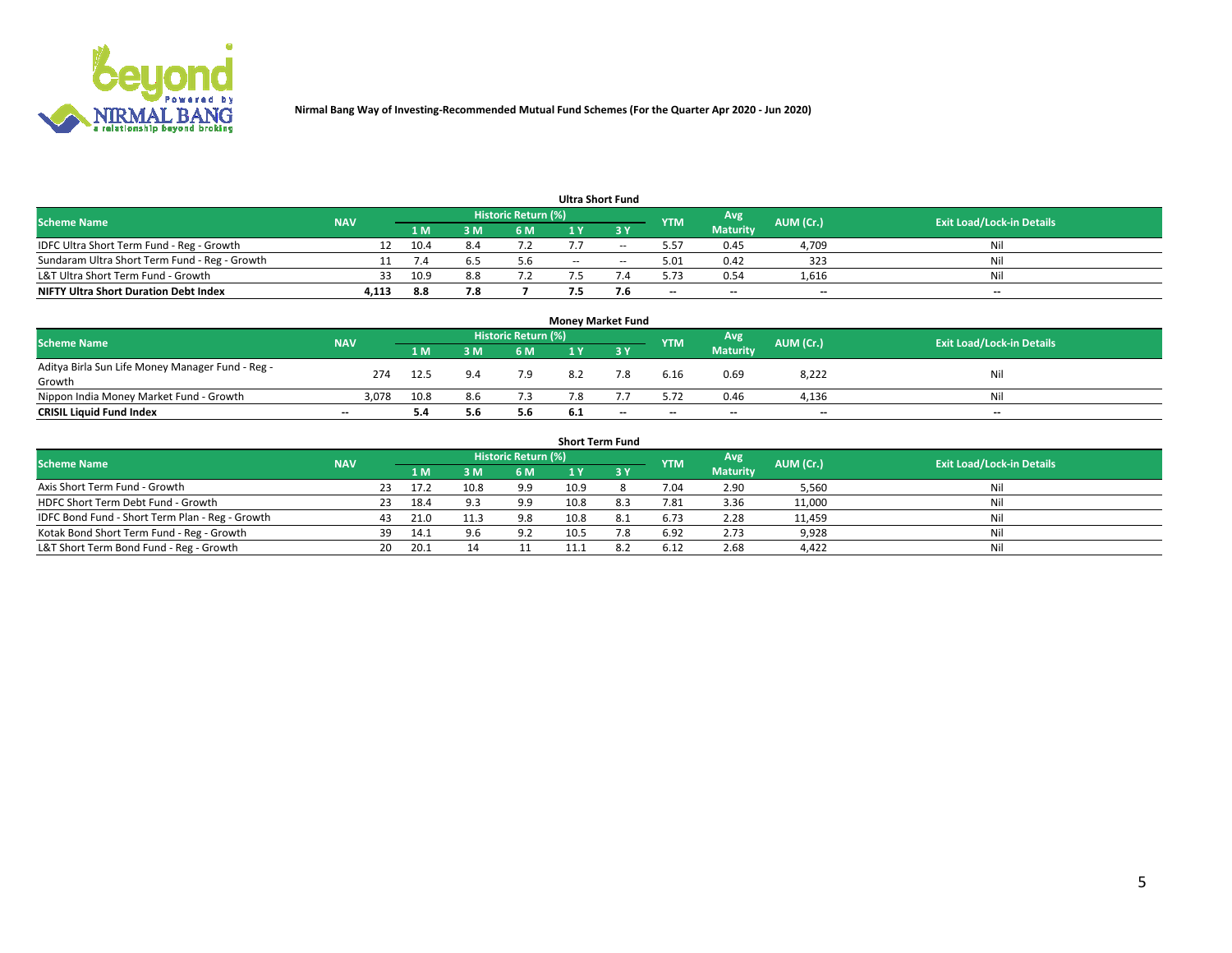

| <b>Ultra Short Fund</b>                       |            |      |     |                            |        |               |            |                 |                          |                                  |  |  |  |  |
|-----------------------------------------------|------------|------|-----|----------------------------|--------|---------------|------------|-----------------|--------------------------|----------------------------------|--|--|--|--|
| <b>Scheme Name</b>                            | <b>NAV</b> |      |     | <b>Historic Return (%)</b> |        |               | <b>YTM</b> | Avg             | AUM (Cr.)                | <b>Exit Load/Lock-in Details</b> |  |  |  |  |
|                                               |            | 1 M  | 8 M | 6 M                        |        | ע כ           |            | <b>Maturity</b> |                          |                                  |  |  |  |  |
| IDFC Ultra Short Term Fund - Reg - Growth     |            | 10.4 |     |                            |        | $\sim$        | 5.57       | 0.45            | 4,709                    | Nil                              |  |  |  |  |
| Sundaram Ultra Short Term Fund - Reg - Growth |            |      |     | 5.6                        | $\sim$ | $\sim$ $\sim$ | 5.01       | 0.42            | 323                      | Nil                              |  |  |  |  |
| L&T Ultra Short Term Fund - Growth            |            | 10.9 |     |                            |        |               | 5.73       | 0.54            | 1,616                    | Nil                              |  |  |  |  |
| <b>NIFTY Ultra Short Duration Debt Index</b>  | 4,113      | 8.8  |     |                            |        | 7.Ь           | $-$        | $-$             | $\overline{\phantom{a}}$ | $-$                              |  |  |  |  |

| <b>Money Market Fund</b>                         |            |      |     |                            |     |     |            |                 |           |                                  |  |  |  |  |
|--------------------------------------------------|------------|------|-----|----------------------------|-----|-----|------------|-----------------|-----------|----------------------------------|--|--|--|--|
| <b>Scheme Name</b>                               | <b>NAV</b> |      |     | <b>Historic Return (%)</b> |     |     | <b>YTM</b> | Avg             | AUM (Cr.) | <b>Exit Load/Lock-in Details</b> |  |  |  |  |
|                                                  |            | '1 M | 8 M | 6 M                        |     | י כ |            | <b>Maturity</b> |           |                                  |  |  |  |  |
| Aditya Birla Sun Life Money Manager Fund - Reg - | 274        | 12.5 |     | 7.9                        | 8.2 | 7.8 | 6.16       | 0.69            | 8,222     | Nil                              |  |  |  |  |
| Growth                                           |            |      |     |                            |     |     |            |                 |           |                                  |  |  |  |  |
| Nippon India Money Market Fund - Growth          | 3.078      | 10.8 | 8.6 |                            |     |     | 5.72       | 0.46            | 4,136     | Nil                              |  |  |  |  |
| <b>CRISIL Liquid Fund Index</b>                  | $- -$      | 5.4  | 5.6 | 5.6                        | 6.1 | --  | $-$        | $-$             | $-$       | $-$                              |  |  |  |  |

| <b>Short Term Fund</b>                          |            |     |      |      |                            |      |     |            |                 |           |                                  |  |
|-------------------------------------------------|------------|-----|------|------|----------------------------|------|-----|------------|-----------------|-----------|----------------------------------|--|
| <b>Scheme Name</b>                              | <b>NAV</b> |     |      |      | <b>Historic Return (%)</b> |      |     | <b>YTM</b> | Avg             | AUM (Cr.) | <b>Exit Load/Lock-in Details</b> |  |
|                                                 |            |     |      | 3 M  | 6 M                        |      |     |            | <b>Maturity</b> |           |                                  |  |
| Axis Short Term Fund - Growth                   |            | 23  | 17.2 | 10.8 | 9.9                        | 10.9 |     | 7.04       | 2.90            | 5,560     | Nil                              |  |
| HDFC Short Term Debt Fund - Growth              |            |     | 18.4 |      | 9.9                        | 10.8 | 8.3 | 7.81       | 3.36            | 11,000    | Nil                              |  |
| IDFC Bond Fund - Short Term Plan - Reg - Growth |            | 43  | 21.0 | 11.3 | 9.8                        | 10.8 | 8.1 | 6.73       | 2.28            | 11,459    | Nil                              |  |
| Kotak Bond Short Term Fund - Reg - Growth       |            | 39  | 14.1 | 9.6  | 9.2                        | 10.5 | 7.8 | 6.92       | 2.73            | 9,928     | Nil                              |  |
| L&T Short Term Bond Fund - Reg - Growth         |            | 20. | 20.2 |      |                            |      | 8.2 | 6.12       | 2.68            | 4,422     | Nil                              |  |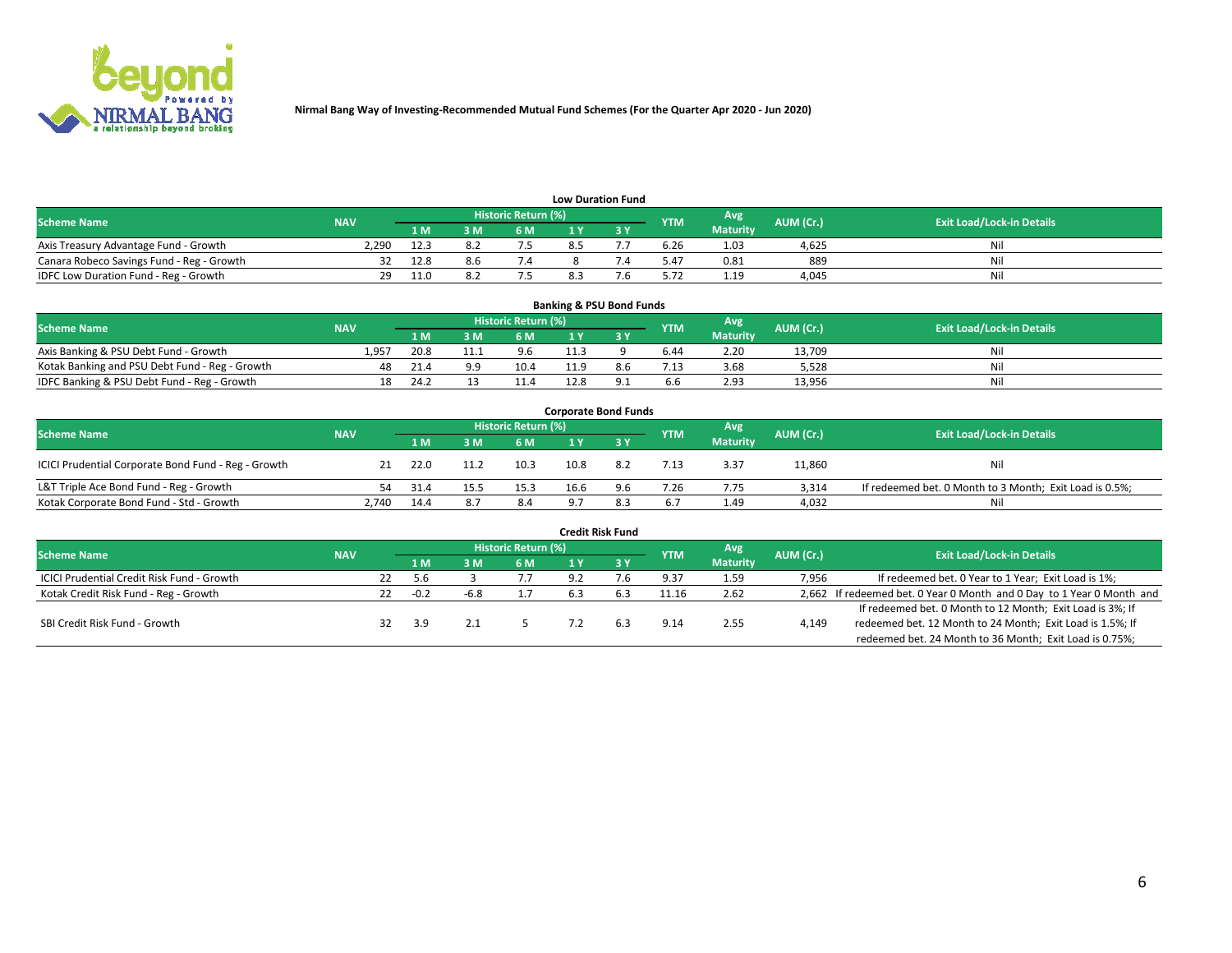

| <b>Low Duration Fund</b>                  |            |      |     |                            |  |  |            |                 |           |                                  |  |  |  |
|-------------------------------------------|------------|------|-----|----------------------------|--|--|------------|-----------------|-----------|----------------------------------|--|--|--|
| <b>Scheme Name</b>                        | <b>NAV</b> |      |     | <b>Historic Return (%)</b> |  |  | <b>YTM</b> | Avg             | AUM (Cr.) | <b>Exit Load/Lock-in Details</b> |  |  |  |
|                                           |            | 1 M. | 3 M | 6 M                        |  |  |            | <b>Maturity</b> |           |                                  |  |  |  |
| Axis Treasury Advantage Fund - Growth     | 2,290      | 12.3 |     |                            |  |  | 6.26       | 1.03            | 4,625     | Nil                              |  |  |  |
| Canara Robeco Savings Fund - Reg - Growth |            | 12.8 |     |                            |  |  | 5.47       | 0.81            | 889       | Nil                              |  |  |  |
| IDFC Low Duration Fund - Reg - Growth     | 29         | 11.0 |     |                            |  |  | 5.72       | 1.19            | 4,045     | Nil                              |  |  |  |

| <b>Banking &amp; PSU Bond Funds</b>            |            |      |      |                     |      |     |            |                 |           |                                  |  |  |  |
|------------------------------------------------|------------|------|------|---------------------|------|-----|------------|-----------------|-----------|----------------------------------|--|--|--|
| <b>Scheme Name</b>                             | <b>NAV</b> |      |      | Historic Return (%) |      |     | <b>YTM</b> | Avg             | AUM (Cr.) | <b>Exit Load/Lock-in Details</b> |  |  |  |
|                                                |            | 1 M  | 3 M  | 6 M                 |      |     |            | <b>Maturity</b> |           |                                  |  |  |  |
| Axis Banking & PSU Debt Fund - Growth          | 1,957      | 20.8 | 11.1 | 9.6                 | 11.3 |     | 6.44       | 2.20            | 13.709    | Nil                              |  |  |  |
| Kotak Banking and PSU Debt Fund - Reg - Growth |            | 21.4 | a a  | 10.4                | 11.9 | 8.b | 7.13       | 3.68            | 5.528     | Nil                              |  |  |  |
| IDFC Banking & PSU Debt Fund - Reg - Growth    | 18         | 24.2 |      | 11.4                | 12.8 |     | 6.6        | 2.93            | 13,956    | Nil                              |  |  |  |

| <b>Corporate Bond Funds</b>                         |            |      |      |                     |      |     |            |                 |           |                                                         |  |  |  |  |
|-----------------------------------------------------|------------|------|------|---------------------|------|-----|------------|-----------------|-----------|---------------------------------------------------------|--|--|--|--|
| <b>Scheme Name</b>                                  | <b>NAV</b> |      |      | Historic Return (%) |      |     | <b>YTM</b> | Avg             | AUM (Cr.) | <b>Exit Load/Lock-in Details</b>                        |  |  |  |  |
|                                                     |            | 1 M  |      | 6 M                 |      |     |            | <b>Maturity</b> |           |                                                         |  |  |  |  |
| ICICI Prudential Corporate Bond Fund - Reg - Growth | 21         | 22.0 | 11.2 | 10.3                | 10.8 | 8.2 | 7.13       | 3.37            | 11,860    | Nil                                                     |  |  |  |  |
| L&T Triple Ace Bond Fund - Reg - Growth             | 54         | 31.4 |      | 15.3                | 16.6 | 9.6 | 7.26       | 7.75            | 3.314     | If redeemed bet. 0 Month to 3 Month; Exit Load is 0.5%; |  |  |  |  |
| Kotak Corporate Bond Fund - Std - Growth            | 2.740      | 14.4 |      | 8.4                 | ۵    | 8.3 | 6.7        | 1.49            | 4,032     | Nil                                                     |  |  |  |  |

| <b>Credit Risk Fund</b>                    |            |    |        |      |                            |     |           |            |                 |           |                                                                       |  |  |
|--------------------------------------------|------------|----|--------|------|----------------------------|-----|-----------|------------|-----------------|-----------|-----------------------------------------------------------------------|--|--|
| <b>Scheme Name</b>                         | <b>NAV</b> |    |        |      | <b>Historic Return (%)</b> |     |           | <b>YTM</b> | Avg             | AUM (Cr.) | <b>Exit Load/Lock-in Details</b>                                      |  |  |
|                                            |            |    | 1 M    | 3M   | <b>6M</b>                  |     | <b>3Y</b> |            | <b>Maturity</b> |           |                                                                       |  |  |
| ICICI Prudential Credit Risk Fund - Growth |            | 22 | 5.6    |      |                            | 9.2 |           | 9.37       | 1.59            | 7,956     | If redeemed bet. 0 Year to 1 Year; Exit Load is 1%;                   |  |  |
| Kotak Credit Risk Fund - Reg - Growth      |            | 22 | $-0.2$ | -6.8 |                            |     |           | 11.16      | 2.62            |           | 2,662 If redeemed bet. 0 Year 0 Month and 0 Day to 1 Year 0 Month and |  |  |
|                                            |            |    |        |      |                            |     |           |            |                 |           | If redeemed bet. 0 Month to 12 Month; Exit Load is 3%; If             |  |  |
| SBI Credit Risk Fund - Growth              |            |    | 3.9    |      |                            |     | 6.3       | 9.14       | 2.55            | 4,149     | redeemed bet. 12 Month to 24 Month; Exit Load is 1.5%; If             |  |  |
|                                            |            |    |        |      |                            |     |           |            |                 |           | redeemed bet. 24 Month to 36 Month; Exit Load is 0.75%;               |  |  |